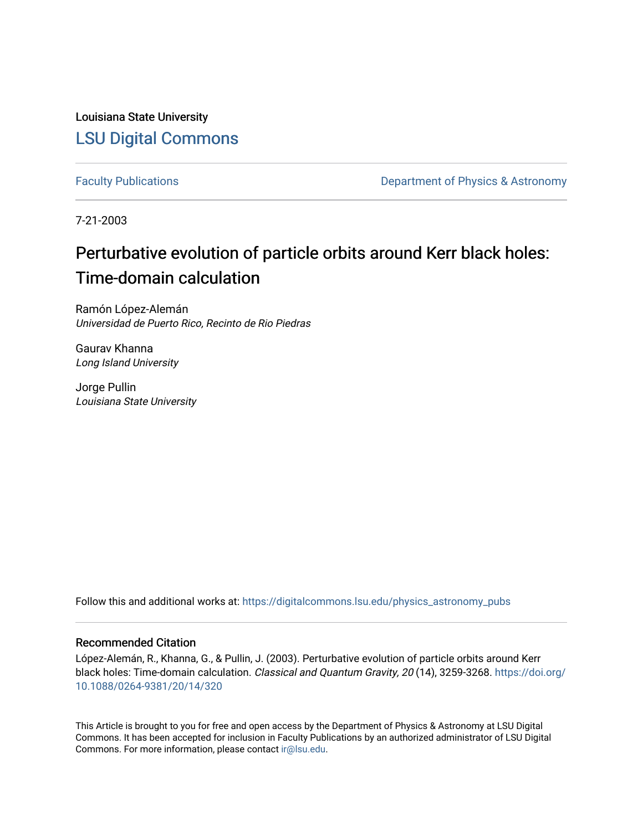Louisiana State University [LSU Digital Commons](https://digitalcommons.lsu.edu/)

[Faculty Publications](https://digitalcommons.lsu.edu/physics_astronomy_pubs) **Exercise 2** and Table 2 and Department of Physics & Astronomy

7-21-2003

# Perturbative evolution of particle orbits around Kerr black holes: Time-domain calculation

Ramón López-Alemán Universidad de Puerto Rico, Recinto de Rio Piedras

Gaurav Khanna Long Island University

Jorge Pullin Louisiana State University

Follow this and additional works at: [https://digitalcommons.lsu.edu/physics\\_astronomy\\_pubs](https://digitalcommons.lsu.edu/physics_astronomy_pubs?utm_source=digitalcommons.lsu.edu%2Fphysics_astronomy_pubs%2F4395&utm_medium=PDF&utm_campaign=PDFCoverPages) 

# Recommended Citation

López-Alemán, R., Khanna, G., & Pullin, J. (2003). Perturbative evolution of particle orbits around Kerr black holes: Time-domain calculation. Classical and Quantum Gravity, 20 (14), 3259-3268. [https://doi.org/](https://doi.org/10.1088/0264-9381/20/14/320) [10.1088/0264-9381/20/14/320](https://doi.org/10.1088/0264-9381/20/14/320) 

This Article is brought to you for free and open access by the Department of Physics & Astronomy at LSU Digital Commons. It has been accepted for inclusion in Faculty Publications by an authorized administrator of LSU Digital Commons. For more information, please contact [ir@lsu.edu](mailto:ir@lsu.edu).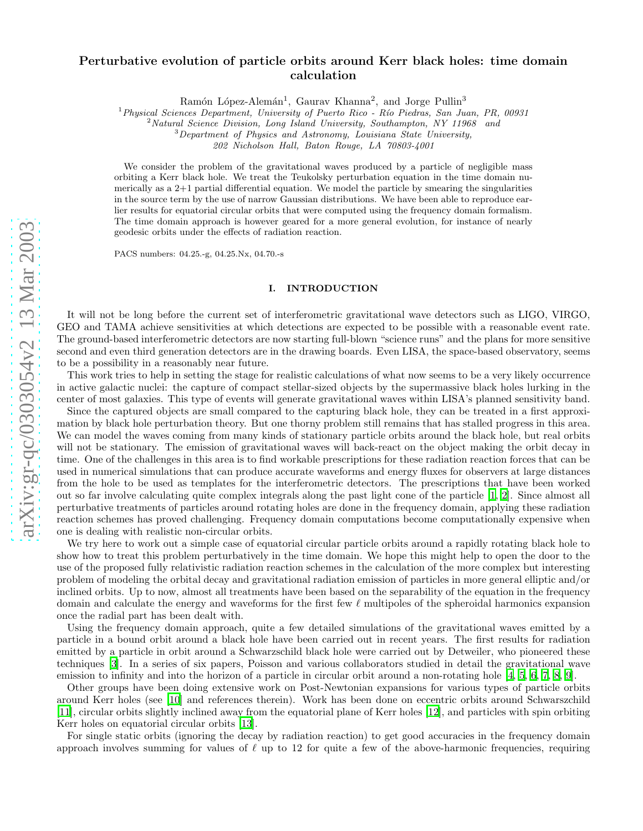# arXiv:gr-qc/0303054v2 13 Mar 2003 [arXiv:gr-qc/0303054v2 13 Mar 2003](http://arxiv.org/abs/gr-qc/0303054v2)

# Perturbative evolution of particle orbits around Kerr black holes: time domain calculation

Ramón López-Alemán<sup>1</sup>, Gaurav Khanna<sup>2</sup>, and Jorge Pullin<sup>3</sup>

<sup>1</sup> Physical Sciences Department, University of Puerto Rico - Río Piedras, San Juan, PR, 00931<br><sup>2</sup> Natural Science Division, Long Island University, Southampton, NY 11968 and<br><sup>3</sup> Department of Physics and Astronomy, Louis

*202 Nicholson Hall, Baton Rouge, LA 70803-4001*

We consider the problem of the gravitational waves produced by a particle of negligible mass orbiting a Kerr black hole. We treat the Teukolsky perturbation equation in the time domain numerically as a 2+1 partial differential equation. We model the particle by smearing the singularities in the source term by the use of narrow Gaussian distributions. We have been able to reproduce earlier results for equatorial circular orbits that were computed using the frequency domain formalism. The time domain approach is however geared for a more general evolution, for instance of nearly geodesic orbits under the effects of radiation reaction.

PACS numbers: 04.25.-g, 04.25.Nx, 04.70.-s

# I. INTRODUCTION

It will not be long before the current set of interferometric gravitational wave detectors such as LIGO, VIRGO, GEO and TAMA achieve sensitivities at which detections are expected to be possible with a reasonable event rate. The ground-based interferometric detectors are now starting full-blown "science runs" and the plans for more sensitive second and even third generation detectors are in the drawing boards. Even LISA, the space-based observatory, seems to be a possibility in a reasonably near future.

This work tries to help in setting the stage for realistic calculations of what now seems to be a very likely occurrence in active galactic nuclei: the capture of compact stellar-sized objects by the supermassive black holes lurking in the center of most galaxies. This type of events will generate gravitational waves within LISA's planned sensitivity band.

Since the captured objects are small compared to the capturing black hole, they can be treated in a first approximation by black hole perturbation theory. But one thorny problem still remains that has stalled progress in this area. We can model the waves coming from many kinds of stationary particle orbits around the black hole, but real orbits will not be stationary. The emission of gravitational waves will back-react on the object making the orbit decay in time. One of the challenges in this area is to find workable prescriptions for these radiation reaction forces that can be used in numerical simulations that can produce accurate waveforms and energy fluxes for observers at large distances from the hole to be used as templates for the interferometric detectors. The prescriptions that have been worked out so far involve calculating quite complex integrals along the past light cone of the particle [\[1,](#page-7-0) [2](#page-7-1)]. Since almost all perturbative treatments of particles around rotating holes are done in the frequency domain, applying these radiation reaction schemes has proved challenging. Frequency domain computations become computationally expensive when one is dealing with realistic non-circular orbits.

We try here to work out a simple case of equatorial circular particle orbits around a rapidly rotating black hole to show how to treat this problem perturbatively in the time domain. We hope this might help to open the door to the use of the proposed fully relativistic radiation reaction schemes in the calculation of the more complex but interesting problem of modeling the orbital decay and gravitational radiation emission of particles in more general elliptic and/or inclined orbits. Up to now, almost all treatments have been based on the separability of the equation in the frequency domain and calculate the energy and waveforms for the first few  $\ell$  multipoles of the spheroidal harmonics expansion once the radial part has been dealt with.

Using the frequency domain approach, quite a few detailed simulations of the gravitational waves emitted by a particle in a bound orbit around a black hole have been carried out in recent years. The first results for radiation emitted by a particle in orbit around a Schwarzschild black hole were carried out by Detweiler, who pioneered these techniques [\[3](#page-7-2)]. In a series of six papers, Poisson and various collaborators studied in detail the gravitational wave emission to infinity and into the horizon of a particle in circular orbit around a non-rotating hole [\[4,](#page-8-0) [5,](#page-8-1) [6,](#page-8-2) [7,](#page-8-3) [8](#page-8-4), [9](#page-8-5)].

Other groups have been doing extensive work on Post-Newtonian expansions for various types of particle orbits around Kerr holes (see [\[10](#page-8-6)] and references therein). Work has been done on eccentric orbits around Schwarszchild [\[11\]](#page-8-7), circular orbits slightly inclined away from the equatorial plane of Kerr holes [\[12\]](#page-8-8), and particles with spin orbiting Kerr holes on equatorial circular orbits [\[13\]](#page-8-9).

For single static orbits (ignoring the decay by radiation reaction) to get good accuracies in the frequency domain approach involves summing for values of  $\ell$  up to 12 for quite a few of the above-harmonic frequencies, requiring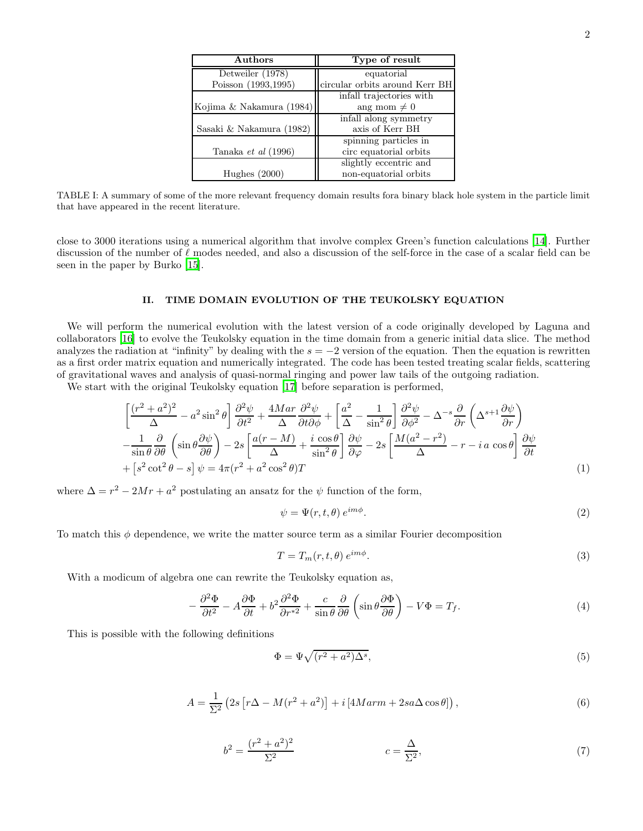| Authors                  | Type of result                 |  |
|--------------------------|--------------------------------|--|
| Detweiler (1978)         | equatorial                     |  |
| Poisson (1993,1995)      | circular orbits around Kerr BH |  |
|                          | infall trajectories with       |  |
| Kojima & Nakamura (1984) | ang mom $\neq 0$               |  |
|                          | infall along symmetry          |  |
| Sasaki & Nakamura (1982) | axis of Kerr BH                |  |
|                          | spinning particles in          |  |
| Tanaka et al (1996)      | circ equatorial orbits         |  |
|                          | slightly eccentric and         |  |
| Hughes $(2000)$          | non-equatorial orbits          |  |

TABLE I: A summary of some of the more relevant frequency domain results fora binary black hole system in the particle limit that have appeared in the recent literature.

close to 3000 iterations using a numerical algorithm that involve complex Green's function calculations [\[14](#page-8-10)]. Further discussion of the number of  $\ell$  modes needed, and also a discussion of the self-force in the case of a scalar field can be seen in the paper by Burko [\[15\]](#page-8-11).

## II. TIME DOMAIN EVOLUTION OF THE TEUKOLSKY EQUATION

We will perform the numerical evolution with the latest version of a code originally developed by Laguna and collaborators [\[16](#page-8-12)] to evolve the Teukolsky equation in the time domain from a generic initial data slice. The method analyzes the radiation at "infinity" by dealing with the  $s = -2$  version of the equation. Then the equation is rewritten as a first order matrix equation and numerically integrated. The code has been tested treating scalar fields, scattering of gravitational waves and analysis of quasi-normal ringing and power law tails of the outgoing radiation.

We start with the original Teukolsky equation [\[17](#page-8-13)] before separation is performed,

$$
\left[\frac{(r^2 + a^2)^2}{\Delta} - a^2 \sin^2 \theta\right] \frac{\partial^2 \psi}{\partial t^2} + \frac{4Mar}{\Delta} \frac{\partial^2 \psi}{\partial t \partial \phi} + \left[\frac{a^2}{\Delta} - \frac{1}{\sin^2 \theta}\right] \frac{\partial^2 \psi}{\partial \phi^2} - \Delta^{-s} \frac{\partial}{\partial r} \left(\Delta^{s+1} \frac{\partial \psi}{\partial r}\right) \n- \frac{1}{\sin \theta} \frac{\partial}{\partial \theta} \left(\sin \theta \frac{\partial \psi}{\partial \theta}\right) - 2s \left[\frac{a(r - M)}{\Delta} + \frac{i \cos \theta}{\sin^2 \theta}\right] \frac{\partial \psi}{\partial \varphi} - 2s \left[\frac{M(a^2 - r^2)}{\Delta} - r - i a \cos \theta\right] \frac{\partial \psi}{\partial t} \n+ \left[s^2 \cot^2 \theta - s\right] \psi = 4\pi (r^2 + a^2 \cos^2 \theta) T
$$
\n(1)

where  $\Delta = r^2 - 2Mr + a^2$  postulating an ansatz for the  $\psi$  function of the form,

$$
\psi = \Psi(r, t, \theta) e^{im\phi}.
$$
\n(2)

To match this  $\phi$  dependence, we write the matter source term as a similar Fourier decomposition

$$
T = T_m(r, t, \theta) e^{im\phi}.
$$
\n(3)

With a modicum of algebra one can rewrite the Teukolsky equation as,

$$
-\frac{\partial^2 \Phi}{\partial t^2} - A \frac{\partial \Phi}{\partial t} + b^2 \frac{\partial^2 \Phi}{\partial r^*} + \frac{c}{\sin \theta} \frac{\partial}{\partial \theta} \left( \sin \theta \frac{\partial \Phi}{\partial \theta} \right) - V\Phi = T_f.
$$
 (4)

This is possible with the following definitions

$$
\Phi = \Psi \sqrt{(r^2 + a^2)\Delta^s},\tag{5}
$$

$$
A = \frac{1}{\Sigma^2} \left( 2s \left[ r\Delta - M(r^2 + a^2) \right] + i \left[ 4Marm + 2sa\Delta \cos \theta \right] \right),\tag{6}
$$

$$
b^2 = \frac{(r^2 + a^2)^2}{\Sigma^2} \qquad \qquad c = \frac{\Delta}{\Sigma^2},\tag{7}
$$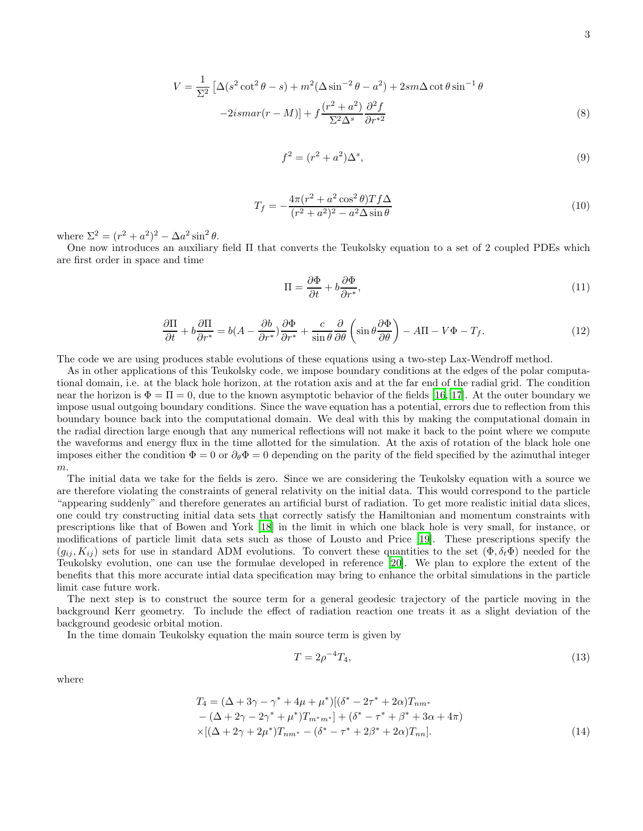$$
V = \frac{1}{\Sigma^2} \left[ \Delta(s^2 \cot^2 \theta - s) + m^2 (\Delta \sin^{-2} \theta - a^2) + 2sm \Delta \cot \theta \sin^{-1} \theta \right]
$$
  

$$
-2ismar(r - M)] + f \frac{(r^2 + a^2)}{\Sigma^2 \Delta^s} \frac{\partial^2 f}{\partial r^{*2}}
$$
 (8)

$$
f^2 = (r^2 + a^2)\Delta^s,\tag{9}
$$

$$
T_f = -\frac{4\pi (r^2 + a^2 \cos^2 \theta) T f \Delta}{(r^2 + a^2)^2 - a^2 \Delta \sin \theta}
$$
 (10)

where  $\Sigma^2 = (r^2 + a^2)^2 - \Delta a^2 \sin^2 \theta$ .

One now introduces an auxiliary field Π that converts the Teukolsky equation to a set of 2 coupled PDEs which are first order in space and time

$$
\Pi = \frac{\partial \Phi}{\partial t} + b \frac{\partial \Phi}{\partial r^*},\tag{11}
$$

$$
\frac{\partial \Pi}{\partial t} + b \frac{\partial \Pi}{\partial r^*} = b(A - \frac{\partial b}{\partial r^*}) \frac{\partial \Phi}{\partial r^*} + \frac{c}{\sin \theta} \frac{\partial}{\partial \theta} \left( \sin \theta \frac{\partial \Phi}{\partial \theta} \right) - A\Pi - V\Phi - T_f.
$$
\n(12)

The code we are using produces stable evolutions of these equations using a two-step Lax-Wendroff method.

As in other applications of this Teukolsky code, we impose boundary conditions at the edges of the polar computational domain, i.e. at the black hole horizon, at the rotation axis and at the far end of the radial grid. The condition near the horizon is  $\Phi = \Pi = 0$ , due to the known asymptotic behavior of the fields [\[16](#page-8-12), [17](#page-8-13)]. At the outer boundary we impose usual outgoing boundary conditions. Since the wave equation has a potential, errors due to reflection from this boundary bounce back into the computational domain. We deal with this by making the computational domain in the radial direction large enough that any numerical reflections will not make it back to the point where we compute the waveforms and energy flux in the time allotted for the simulation. At the axis of rotation of the black hole one imposes either the condition  $\Phi = 0$  or  $\partial_{\theta} \Phi = 0$  depending on the parity of the field specified by the azimuthal integer m.

The initial data we take for the fields is zero. Since we are considering the Teukolsky equation with a source we are therefore violating the constraints of general relativity on the initial data. This would correspond to the particle "appearing suddenly" and therefore generates an artificial burst of radiation. To get more realistic initial data slices, one could try constructing initial data sets that correctly satisfy the Hamiltonian and momentum constraints with prescriptions like that of Bowen and York [\[18\]](#page-8-14) in the limit in which one black hole is very small, for instance, or modifications of particle limit data sets such as those of Lousto and Price [\[19](#page-8-15)]. These prescriptions specify the  $(g_{ij}, K_{ij})$  sets for use in standard ADM evolutions. To convert these quantities to the set  $(\Phi, \delta_t \Phi)$  needed for the Teukolsky evolution, one can use the formulae developed in reference [\[20](#page-8-16)]. We plan to explore the extent of the benefits that this more accurate intial data specification may bring to enhance the orbital simulations in the particle limit case future work.

The next step is to construct the source term for a general geodesic trajectory of the particle moving in the background Kerr geometry. To include the effect of radiation reaction one treats it as a slight deviation of the background geodesic orbital motion.

In the time domain Teukolsky equation the main source term is given by

$$
T = 2\rho^{-4}T_4,\tag{13}
$$

where

$$
T_4 = (\Delta + 3\gamma - \gamma^* + 4\mu + \mu^*)[(\delta^* - 2\tau^* + 2\alpha)T_{nm^*} - (\Delta + 2\gamma - 2\gamma^* + \mu^*)T_{m^*m^*}] + (\delta^* - \tau^* + \beta^* + 3\alpha + 4\pi) \times [(\Delta + 2\gamma + 2\mu^*)T_{nm^*} - (\delta^* - \tau^* + 2\beta^* + 2\alpha)T_{nn}].
$$
\n(14)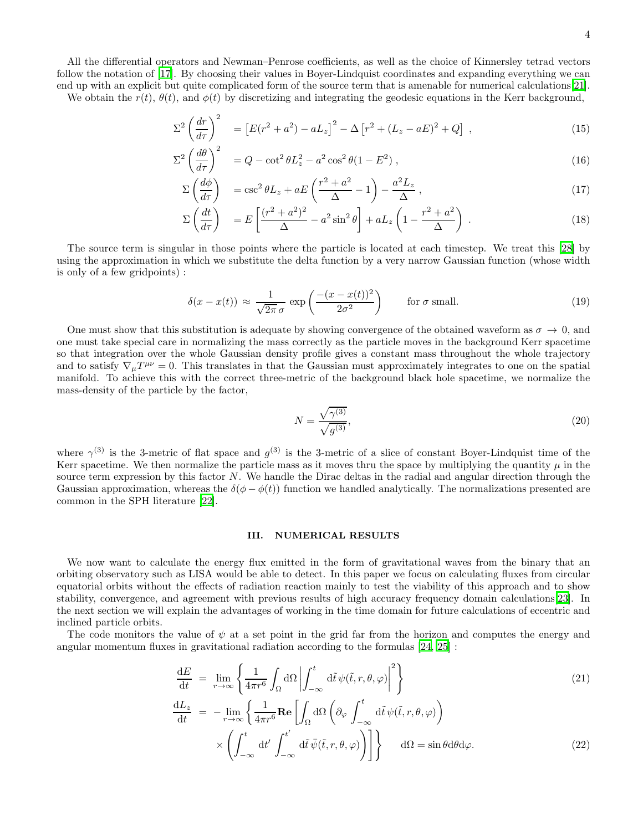We obtain the  $r(t)$ ,  $\theta(t)$ , and  $\phi(t)$  by discretizing and integrating the geodesic equations in the Kerr background,

$$
\Sigma^2 \left(\frac{dr}{d\tau}\right)^2 = \left[E(r^2 + a^2) - aL_z\right]^2 - \Delta \left[r^2 + (L_z - aE)^2 + Q\right],
$$
\n(15)

$$
\Sigma^2 \left(\frac{d\theta}{d\tau}\right)^2 = Q - \cot^2 \theta L_z^2 - a^2 \cos^2 \theta (1 - E^2) , \qquad (16)
$$

$$
\Sigma \left( \frac{d\phi}{d\tau} \right) = \csc^2 \theta L_z + aE \left( \frac{r^2 + a^2}{\Delta} - 1 \right) - \frac{a^2 L_z}{\Delta} , \qquad (17)
$$

$$
\Sigma \left( \frac{dt}{d\tau} \right) = E \left[ \frac{(r^2 + a^2)^2}{\Delta} - a^2 \sin^2 \theta \right] + aL_z \left( 1 - \frac{r^2 + a^2}{\Delta} \right) . \tag{18}
$$

The source term is singular in those points where the particle is located at each timestep. We treat this [\[28\]](#page-8-18) by using the approximation in which we substitute the delta function by a very narrow Gaussian function (whose width is only of a few gridpoints) :

$$
\delta(x - x(t)) \approx \frac{1}{\sqrt{2\pi}\,\sigma} \exp\left(\frac{-(x - x(t))^2}{2\sigma^2}\right) \qquad \text{for } \sigma \text{ small.} \tag{19}
$$

One must show that this substitution is adequate by showing convergence of the obtained waveform as  $\sigma \to 0$ , and one must take special care in normalizing the mass correctly as the particle moves in the background Kerr spacetime so that integration over the whole Gaussian density profile gives a constant mass throughout the whole trajectory and to satisfy  $\nabla_{\mu}T^{\mu\nu} = 0$ . This translates in that the Gaussian must approximately integrates to one on the spatial manifold. To achieve this with the correct three-metric of the background black hole spacetime, we normalize the mass-density of the particle by the factor,

$$
N = \frac{\sqrt{\gamma^{(3)}}}{\sqrt{g^{(3)}}},\tag{20}
$$

where  $\gamma^{(3)}$  is the 3-metric of flat space and  $g^{(3)}$  is the 3-metric of a slice of constant Boyer-Lindquist time of the Kerr spacetime. We then normalize the particle mass as it moves thru the space by multiplying the quantity  $\mu$  in the source term expression by this factor N. We handle the Dirac deltas in the radial and angular direction through the Gaussian approximation, whereas the  $\delta(\phi - \phi(t))$  function we handled analytically. The normalizations presented are common in the SPH literature [\[22](#page-8-19)].

## III. NUMERICAL RESULTS

We now want to calculate the energy flux emitted in the form of gravitational waves from the binary that an orbiting observatory such as LISA would be able to detect. In this paper we focus on calculating fluxes from circular equatorial orbits without the effects of radiation reaction mainly to test the viability of this approach and to show stability, convergence, and agreement with previous results of high accuracy frequency domain calculations[\[23](#page-8-20)]. In the next section we will explain the advantages of working in the time domain for future calculations of eccentric and inclined particle orbits.

The code monitors the value of  $\psi$  at a set point in the grid far from the horizon and computes the energy and angular momentum fluxes in gravitational radiation according to the formulas [\[24,](#page-8-21) [25\]](#page-8-22) :

×

$$
\frac{dE}{dt} = \lim_{r \to \infty} \left\{ \frac{1}{4\pi r^6} \int_{\Omega} d\Omega \left| \int_{-\infty}^t d\tilde{t} \psi(\tilde{t}, r, \theta, \varphi) \right|^2 \right\}
$$
\n
$$
\frac{dL_z}{dt} = -\lim_{r \to \infty} \left\{ \frac{1}{4\pi r^6} \mathbf{Re} \left[ \int_{\Omega} d\Omega \left( \partial_{\varphi} \int_{-\infty}^t d\tilde{t} \psi(\tilde{t}, r, \theta, \varphi) \right) \right] \right\}
$$
\n
$$
\frac{dL_z}{dt} = -\lim_{r \to \infty} \left\{ \frac{1}{4\pi r^6} \mathbf{Re} \left[ \int_{\Omega} d\Omega \left( \partial_{\varphi} \int_{-\infty}^t d\tilde{t} \psi(\tilde{t}, r, \theta, \varphi) \right) \right] \right\}
$$
\n(21)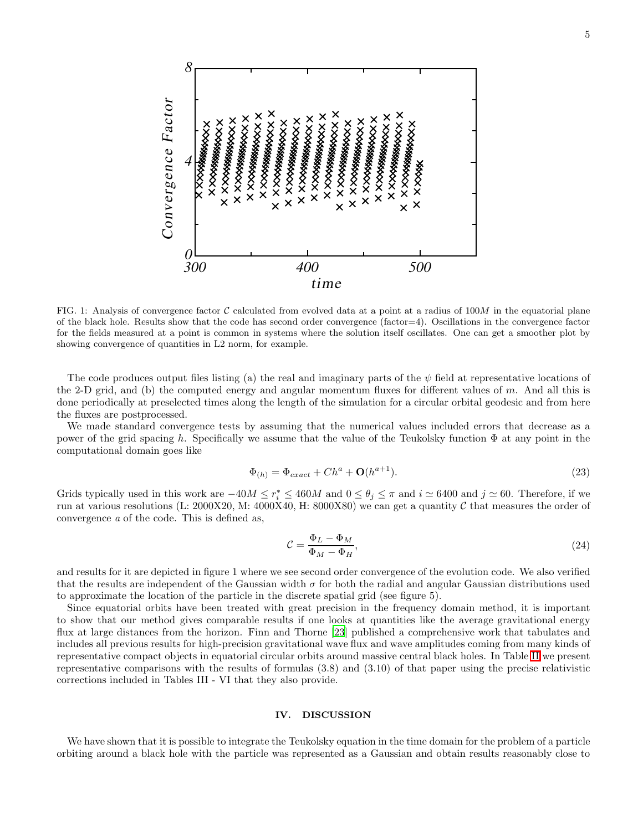

FIG. 1: Analysis of convergence factor  $\mathcal C$  calculated from evolved data at a point at a radius of 100M in the equatorial plane of the black hole. Results show that the code has second order convergence (factor=4). Oscillations in the convergence factor for the fields measured at a point is common in systems where the solution itself oscillates. One can get a smoother plot by showing convergence of quantities in L2 norm, for example.

The code produces output files listing (a) the real and imaginary parts of the  $\psi$  field at representative locations of the 2-D grid, and (b) the computed energy and angular momentum fluxes for different values of m. And all this is done periodically at preselected times along the length of the simulation for a circular orbital geodesic and from here the fluxes are postprocessed.

We made standard convergence tests by assuming that the numerical values included errors that decrease as a power of the grid spacing h. Specifically we assume that the value of the Teukolsky function  $\Phi$  at any point in the computational domain goes like

$$
\Phi_{(h)} = \Phi_{exact} + Ch^a + \mathbf{O}(h^{a+1}).\tag{23}
$$

Grids typically used in this work are  $-40M \le r_i^* \le 460M$  and  $0 \le \theta_j \le \pi$  and  $i \approx 6400$  and  $j \approx 60$ . Therefore, if we run at various resolutions (L: 2000X20, M: 4000X40, H: 8000X80) we can get a quantity  $C$  that measures the order of convergence a of the code. This is defined as,

$$
\mathcal{C} = \frac{\Phi_L - \Phi_M}{\Phi_M - \Phi_H},\tag{24}
$$

and results for it are depicted in figure 1 where we see second order convergence of the evolution code. We also verified that the results are independent of the Gaussian width  $\sigma$  for both the radial and angular Gaussian distributions used to approximate the location of the particle in the discrete spatial grid (see figure 5).

Since equatorial orbits have been treated with great precision in the frequency domain method, it is important to show that our method gives comparable results if one looks at quantities like the average gravitational energy flux at large distances from the horizon. Finn and Thorne [\[23](#page-8-20)] published a comprehensive work that tabulates and includes all previous results for high-precision gravitational wave flux and wave amplitudes coming from many kinds of representative compact objects in equatorial circular orbits around massive central black holes. In Table [II](#page-6-0) we present representative comparisons with the results of formulas (3.8) and (3.10) of that paper using the precise relativistic corrections included in Tables III - VI that they also provide.

## IV. DISCUSSION

We have shown that it is possible to integrate the Teukolsky equation in the time domain for the problem of a particle orbiting around a black hole with the particle was represented as a Gaussian and obtain results reasonably close to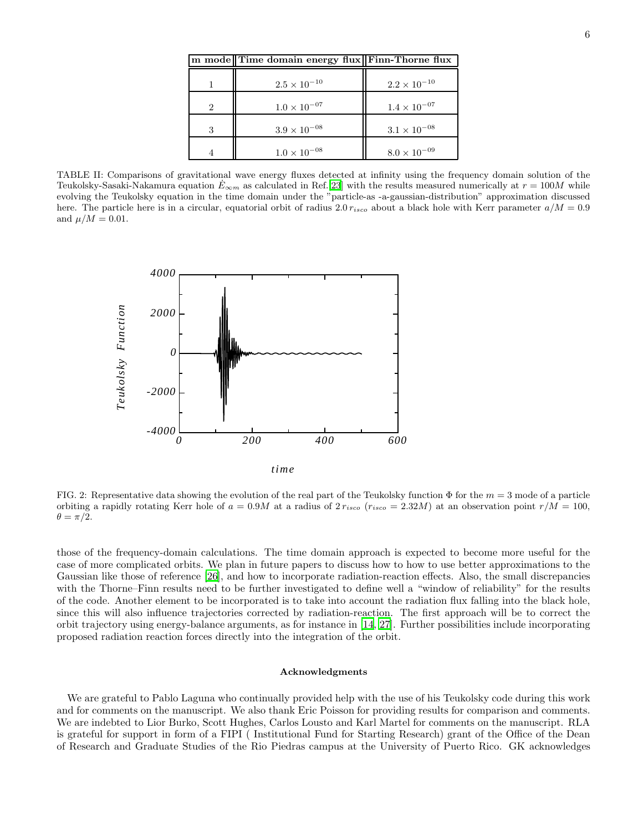|   | m mode Time domain energy flux Finn-Thorne flux |                       |
|---|-------------------------------------------------|-----------------------|
|   | $2.5 \times 10^{-10}$                           | $2.2 \times 10^{-10}$ |
| 2 | $1.0 \times 10^{-07}$                           | $1.4 \times 10^{-07}$ |
| 3 | $3.9 \times 10^{-08}$                           | $3.1 \times 10^{-08}$ |
|   | $1.0 \times 10^{-08}$                           | $8.0 \times 10^{-09}$ |

<span id="page-6-0"></span>TABLE II: Comparisons of gravitational wave energy fluxes detected at infinity using the frequency domain solution of the Teukolsky-Sasaki-Nakamura equation  $E_{\infty m}$  as calculated in Ref.[\[23\]](#page-8-20) with the results measured numerically at  $r = 100M$  while evolving the Teukolsky equation in the time domain under the "particle-as -a-gaussian-distribution" approximation discussed here. The particle here is in a circular, equatorial orbit of radius 2.0  $r_{isco}$  about a black hole with Kerr parameter  $a/M = 0.9$ and  $\mu/M = 0.01$ .



FIG. 2: Representative data showing the evolution of the real part of the Teukolsky function  $\Phi$  for the  $m = 3$  mode of a particle orbiting a rapidly rotating Kerr hole of  $a = 0.9M$  at a radius of  $2 r_{isco}$  ( $r_{isco} = 2.32M$ ) at an observation point  $r/M = 100$ ,  $\theta = \pi/2.$ 

those of the frequency-domain calculations. The time domain approach is expected to become more useful for the case of more complicated orbits. We plan in future papers to discuss how to how to use better approximations to the Gaussian like those of reference [\[26](#page-8-23)], and how to incorporate radiation-reaction effects. Also, the small discrepancies with the Thorne–Finn results need to be further investigated to define well a "window of reliability" for the results of the code. Another element to be incorporated is to take into account the radiation flux falling into the black hole, since this will also influence trajectories corrected by radiation-reaction. The first approach will be to correct the orbit trajectory using energy-balance arguments, as for instance in [\[14,](#page-8-10) [27\]](#page-8-24). Further possibilities include incorporating proposed radiation reaction forces directly into the integration of the orbit.

### Acknowledgments

We are grateful to Pablo Laguna who continually provided help with the use of his Teukolsky code during this work and for comments on the manuscript. We also thank Eric Poisson for providing results for comparison and comments. We are indebted to Lior Burko, Scott Hughes, Carlos Lousto and Karl Martel for comments on the manuscript. RLA is grateful for support in form of a FIPI ( Institutional Fund for Starting Research) grant of the Office of the Dean of Research and Graduate Studies of the Rio Piedras campus at the University of Puerto Rico. GK acknowledges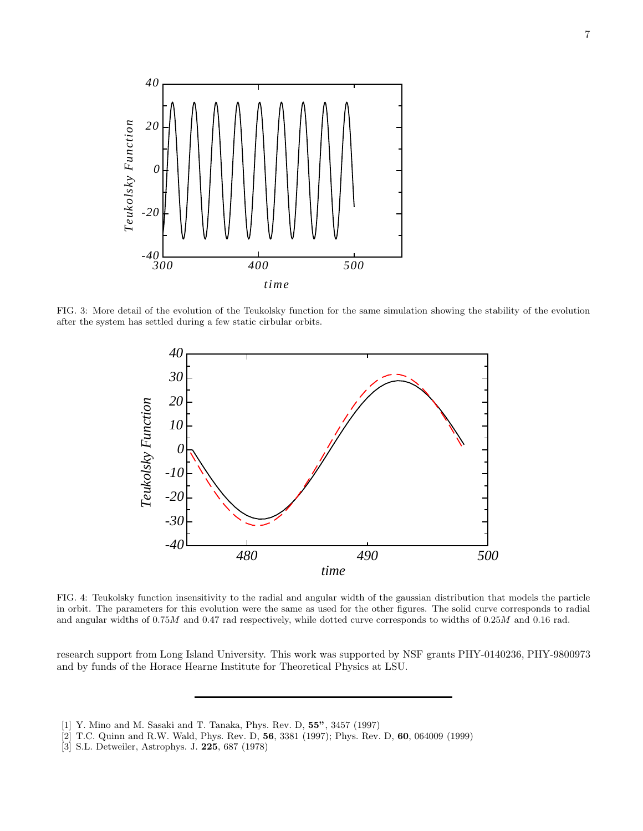

FIG. 3: More detail of the evolution of the Teukolsky function for the same simulation showing the stability of the evolution after the system has settled during a few static cirbular orbits.



FIG. 4: Teukolsky function insensitivity to the radial and angular width of the gaussian distribution that models the particle in orbit. The parameters for this evolution were the same as used for the other figures. The solid curve corresponds to radial and angular widths of 0.75M and 0.47 rad respectively, while dotted curve corresponds to widths of 0.25M and 0.16 rad.

research support from Long Island University. This work was supported by NSF grants PHY-0140236, PHY-9800973 and by funds of the Horace Hearne Institute for Theoretical Physics at LSU.

<sup>[1]</sup> Y. Mino and M. Sasaki and T. Tanaka, Phys. Rev. D, 55", 3457 (1997)

<span id="page-7-1"></span><span id="page-7-0"></span><sup>[2]</sup> T.C. Quinn and R.W. Wald, Phys. Rev. D, 56, 3381 (1997); Phys. Rev. D, 60, 064009 (1999)

<span id="page-7-2"></span><sup>[3]</sup> S.L. Detweiler, Astrophys. J. 225, 687 (1978)